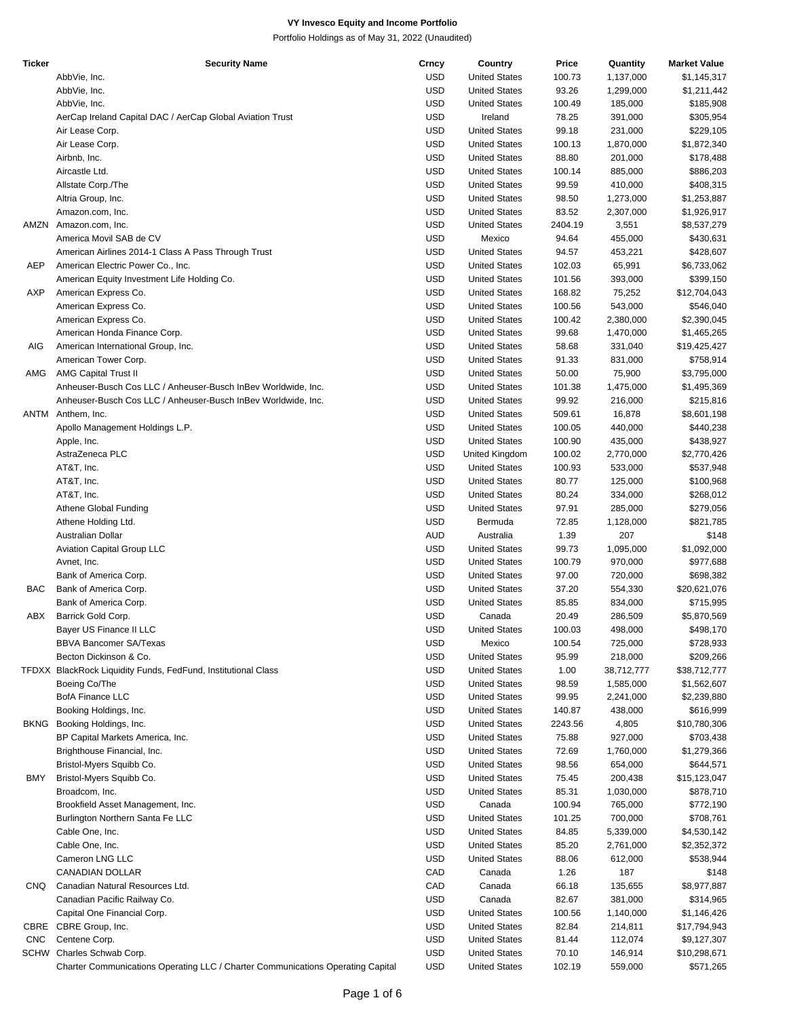| <b>Ticker</b> | <b>Security Name</b>                                                            | Crncy      | Country              | Price   | Quantity   | <b>Market Value</b> |
|---------------|---------------------------------------------------------------------------------|------------|----------------------|---------|------------|---------------------|
|               | AbbVie, Inc.                                                                    | <b>USD</b> | <b>United States</b> | 100.73  | 1,137,000  | \$1,145,317         |
|               | AbbVie, Inc.                                                                    | <b>USD</b> | <b>United States</b> | 93.26   | 1,299,000  | \$1,211,442         |
|               | AbbVie, Inc.                                                                    | <b>USD</b> | <b>United States</b> | 100.49  | 185,000    | \$185,908           |
|               | AerCap Ireland Capital DAC / AerCap Global Aviation Trust                       | <b>USD</b> | Ireland              | 78.25   | 391,000    | \$305,954           |
|               | Air Lease Corp.                                                                 | <b>USD</b> | <b>United States</b> | 99.18   | 231,000    | \$229,105           |
|               | Air Lease Corp.                                                                 | <b>USD</b> | <b>United States</b> | 100.13  | 1,870,000  | \$1,872,340         |
|               | Airbnb, Inc.                                                                    | <b>USD</b> | <b>United States</b> | 88.80   | 201,000    | \$178,488           |
|               | Aircastle Ltd.                                                                  | <b>USD</b> | <b>United States</b> | 100.14  | 885,000    | \$886,203           |
|               |                                                                                 | <b>USD</b> | <b>United States</b> | 99.59   | 410,000    | \$408,315           |
|               | Allstate Corp./The                                                              |            |                      |         |            |                     |
|               | Altria Group, Inc.                                                              | <b>USD</b> | <b>United States</b> | 98.50   | 1,273,000  | \$1,253,887         |
|               | Amazon.com, Inc.                                                                | <b>USD</b> | <b>United States</b> | 83.52   | 2,307,000  | \$1,926,917         |
| AMZN          | Amazon.com, Inc.                                                                | <b>USD</b> | <b>United States</b> | 2404.19 | 3,551      | \$8,537,279         |
|               | America Movil SAB de CV                                                         | <b>USD</b> | Mexico               | 94.64   | 455,000    | \$430,631           |
|               | American Airlines 2014-1 Class A Pass Through Trust                             | <b>USD</b> | <b>United States</b> | 94.57   | 453,221    | \$428,607           |
| AEP           | American Electric Power Co., Inc.                                               | <b>USD</b> | <b>United States</b> | 102.03  | 65,991     | \$6,733,062         |
|               | American Equity Investment Life Holding Co.                                     | <b>USD</b> | <b>United States</b> | 101.56  | 393,000    | \$399,150           |
| AXP           | American Express Co.                                                            | <b>USD</b> | <b>United States</b> | 168.82  | 75,252     | \$12,704,043        |
|               | American Express Co.                                                            | <b>USD</b> | <b>United States</b> | 100.56  | 543,000    | \$546,040           |
|               | American Express Co.                                                            | <b>USD</b> | <b>United States</b> | 100.42  | 2,380,000  | \$2,390,045         |
|               | American Honda Finance Corp.                                                    | <b>USD</b> | <b>United States</b> | 99.68   | 1,470,000  | \$1,465,265         |
| AIG           | American International Group, Inc.                                              | <b>USD</b> | <b>United States</b> | 58.68   | 331,040    | \$19,425,427        |
|               | American Tower Corp.                                                            | <b>USD</b> | <b>United States</b> | 91.33   | 831,000    | \$758,914           |
| AMG           | <b>AMG Capital Trust II</b>                                                     | <b>USD</b> | <b>United States</b> | 50.00   | 75,900     | \$3,795,000         |
|               | Anheuser-Busch Cos LLC / Anheuser-Busch InBev Worldwide, Inc.                   | <b>USD</b> | <b>United States</b> | 101.38  | 1,475,000  | \$1,495,369         |
|               |                                                                                 | <b>USD</b> |                      | 99.92   |            | \$215,816           |
|               | Anheuser-Busch Cos LLC / Anheuser-Busch InBev Worldwide, Inc.                   |            | <b>United States</b> |         | 216,000    |                     |
| ANTM          | Anthem, Inc.                                                                    | <b>USD</b> | <b>United States</b> | 509.61  | 16,878     | \$8,601,198         |
|               | Apollo Management Holdings L.P.                                                 | <b>USD</b> | <b>United States</b> | 100.05  | 440,000    | \$440,238           |
|               | Apple, Inc.                                                                     | <b>USD</b> | <b>United States</b> | 100.90  | 435,000    | \$438,927           |
|               | AstraZeneca PLC                                                                 | <b>USD</b> | United Kingdom       | 100.02  | 2,770,000  | \$2,770,426         |
|               | AT&T, Inc.                                                                      | <b>USD</b> | <b>United States</b> | 100.93  | 533,000    | \$537,948           |
|               | AT&T, Inc.                                                                      | <b>USD</b> | <b>United States</b> | 80.77   | 125,000    | \$100,968           |
|               | AT&T, Inc.                                                                      | <b>USD</b> | <b>United States</b> | 80.24   | 334,000    | \$268,012           |
|               | Athene Global Funding                                                           | <b>USD</b> | <b>United States</b> | 97.91   | 285,000    | \$279,056           |
|               | Athene Holding Ltd.                                                             | <b>USD</b> | Bermuda              | 72.85   | 1,128,000  | \$821,785           |
|               | Australian Dollar                                                               | AUD        | Australia            | 1.39    | 207        | \$148               |
|               | Aviation Capital Group LLC                                                      | <b>USD</b> | <b>United States</b> | 99.73   | 1,095,000  | \$1,092,000         |
|               | Avnet, Inc.                                                                     | <b>USD</b> | <b>United States</b> | 100.79  | 970,000    | \$977,688           |
|               | Bank of America Corp.                                                           | <b>USD</b> | <b>United States</b> | 97.00   | 720,000    | \$698,382           |
| BAC           | Bank of America Corp.                                                           | <b>USD</b> | <b>United States</b> | 37.20   | 554,330    | \$20,621,076        |
|               | Bank of America Corp.                                                           | <b>USD</b> | <b>United States</b> | 85.85   |            |                     |
|               |                                                                                 |            |                      |         | 834,000    | \$715,995           |
| ABX           | Barrick Gold Corp.                                                              | <b>USD</b> | Canada               | 20.49   | 286,509    | \$5,870,569         |
|               | Bayer US Finance II LLC                                                         | <b>USD</b> | <b>United States</b> | 100.03  | 498,000    | \$498,170           |
|               | <b>BBVA Bancomer SA/Texas</b>                                                   | <b>USD</b> | Mexico               | 100.54  | 725,000    | \$728,933           |
|               | Becton Dickinson & Co.                                                          | <b>USD</b> | <b>United States</b> | 95.99   | 218,000    | \$209,266           |
|               | TFDXX BlackRock Liquidity Funds, FedFund, Institutional Class                   | <b>USD</b> | <b>United States</b> | 1.00    | 38,712,777 | \$38,712,777        |
|               | Boeing Co/The                                                                   | <b>USD</b> | <b>United States</b> | 98.59   | 1,585,000  | \$1,562,607         |
|               | <b>BofA Finance LLC</b>                                                         | <b>USD</b> | <b>United States</b> | 99.95   | 2,241,000  | \$2,239,880         |
|               | Booking Holdings, Inc.                                                          | <b>USD</b> | <b>United States</b> | 140.87  | 438,000    | \$616,999           |
| <b>BKNG</b>   | Booking Holdings, Inc.                                                          | <b>USD</b> | <b>United States</b> | 2243.56 | 4,805      | \$10,780,306        |
|               | BP Capital Markets America, Inc.                                                | <b>USD</b> | <b>United States</b> | 75.88   | 927,000    | \$703,438           |
|               | Brighthouse Financial, Inc.                                                     | <b>USD</b> | <b>United States</b> | 72.69   | 1,760,000  | \$1,279,366         |
|               | Bristol-Myers Squibb Co.                                                        | <b>USD</b> | <b>United States</b> | 98.56   | 654,000    | \$644,571           |
| BMY           | Bristol-Myers Squibb Co.                                                        | <b>USD</b> | <b>United States</b> | 75.45   | 200,438    | \$15,123,047        |
|               | Broadcom, Inc.                                                                  | <b>USD</b> | <b>United States</b> | 85.31   |            | \$878,710           |
|               |                                                                                 |            |                      |         | 1,030,000  |                     |
|               | Brookfield Asset Management, Inc.                                               | <b>USD</b> | Canada               | 100.94  | 765,000    | \$772,190           |
|               | Burlington Northern Santa Fe LLC                                                | <b>USD</b> | <b>United States</b> | 101.25  | 700,000    | \$708,761           |
|               | Cable One, Inc.                                                                 | <b>USD</b> | <b>United States</b> | 84.85   | 5,339,000  | \$4,530,142         |
|               | Cable One, Inc.                                                                 | <b>USD</b> | <b>United States</b> | 85.20   | 2,761,000  | \$2,352,372         |
|               | Cameron LNG LLC                                                                 | <b>USD</b> | <b>United States</b> | 88.06   | 612,000    | \$538,944           |
|               | CANADIAN DOLLAR                                                                 | CAD        | Canada               | 1.26    | 187        | \$148               |
| CNQ           | Canadian Natural Resources Ltd.                                                 | CAD        | Canada               | 66.18   | 135,655    | \$8,977,887         |
|               | Canadian Pacific Railway Co.                                                    | <b>USD</b> | Canada               | 82.67   | 381,000    | \$314,965           |
|               | Capital One Financial Corp.                                                     | <b>USD</b> | <b>United States</b> | 100.56  | 1,140,000  | \$1,146,426         |
|               | CBRE CBRE Group, Inc.                                                           | <b>USD</b> | <b>United States</b> | 82.84   | 214,811    | \$17,794,943        |
| <b>CNC</b>    | Centene Corp.                                                                   | <b>USD</b> | <b>United States</b> | 81.44   | 112,074    | \$9,127,307         |
|               | SCHW Charles Schwab Corp.                                                       | <b>USD</b> | <b>United States</b> | 70.10   | 146,914    | \$10,298,671        |
|               | Charter Communications Operating LLC / Charter Communications Operating Capital | <b>USD</b> | <b>United States</b> | 102.19  | 559,000    | \$571,265           |
|               |                                                                                 |            |                      |         |            |                     |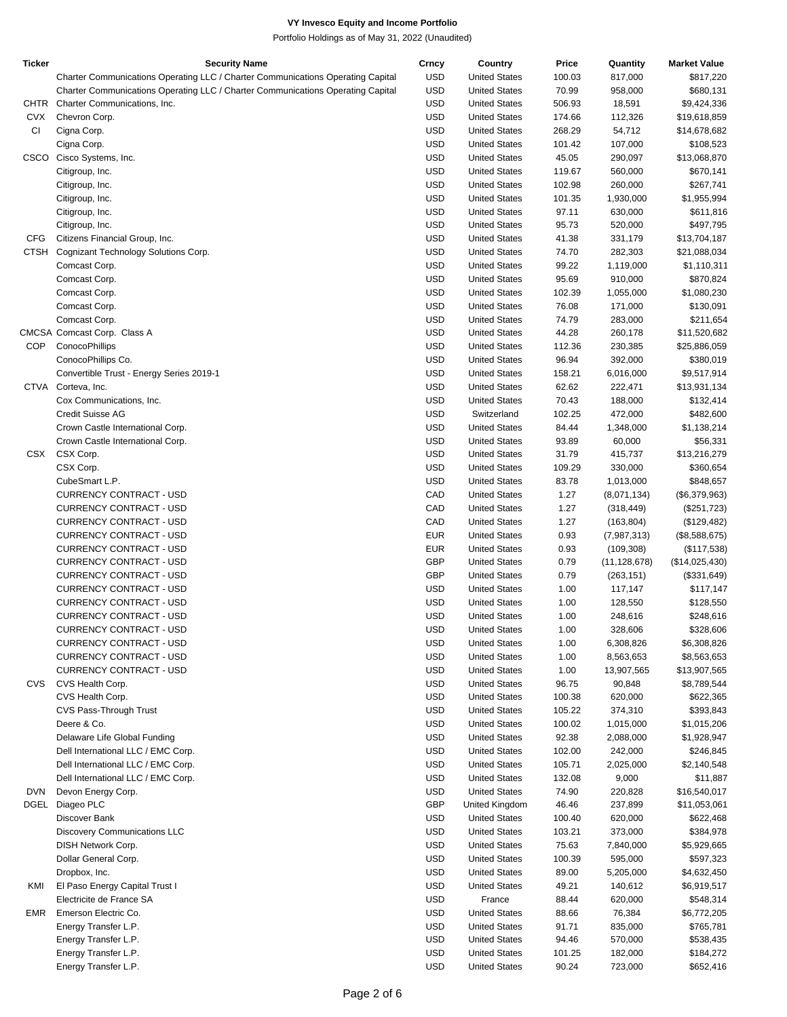| <b>Ticker</b> | <b>Security Name</b>                                                            | Crncy      | Country              | Price  | Quantity       | <b>Market Value</b> |
|---------------|---------------------------------------------------------------------------------|------------|----------------------|--------|----------------|---------------------|
|               | Charter Communications Operating LLC / Charter Communications Operating Capital | <b>USD</b> | <b>United States</b> | 100.03 | 817,000        | \$817,220           |
|               | Charter Communications Operating LLC / Charter Communications Operating Capital | USD        | <b>United States</b> | 70.99  | 958,000        | \$680,131           |
| CHTR          | Charter Communications, Inc.                                                    | USD        | <b>United States</b> | 506.93 | 18,591         | \$9,424,336         |
| <b>CVX</b>    | Chevron Corp.                                                                   | <b>USD</b> | <b>United States</b> | 174.66 | 112,326        | \$19,618,859        |
|               |                                                                                 |            |                      |        |                |                     |
| <b>CI</b>     | Cigna Corp.                                                                     | USD        | <b>United States</b> | 268.29 | 54,712         | \$14,678,682        |
|               | Cigna Corp.                                                                     | <b>USD</b> | <b>United States</b> | 101.42 | 107,000        | \$108,523           |
| CSCO          | Cisco Systems, Inc.                                                             | USD        | <b>United States</b> | 45.05  | 290,097        | \$13,068,870        |
|               | Citigroup, Inc.                                                                 | <b>USD</b> | <b>United States</b> | 119.67 | 560,000        | \$670,141           |
|               | Citigroup, Inc.                                                                 | USD        | <b>United States</b> | 102.98 | 260,000        | \$267,741           |
|               | Citigroup, Inc.                                                                 | <b>USD</b> | <b>United States</b> | 101.35 | 1,930,000      | \$1,955,994         |
|               | Citigroup, Inc.                                                                 | USD        | <b>United States</b> | 97.11  | 630,000        | \$611,816           |
|               | Citigroup, Inc.                                                                 | <b>USD</b> | <b>United States</b> | 95.73  | 520,000        | \$497,795           |
| <b>CFG</b>    | Citizens Financial Group, Inc.                                                  | USD        | <b>United States</b> | 41.38  | 331,179        | \$13,704,187        |
|               | CTSH Cognizant Technology Solutions Corp.                                       | USD        | <b>United States</b> | 74.70  | 282,303        | \$21,088,034        |
|               | Comcast Corp.                                                                   | USD        | <b>United States</b> | 99.22  | 1,119,000      | \$1,110,311         |
|               | Comcast Corp.                                                                   | <b>USD</b> | <b>United States</b> | 95.69  | 910,000        | \$870,824           |
|               | Comcast Corp.                                                                   | USD        | <b>United States</b> | 102.39 | 1,055,000      | \$1,080,230         |
|               |                                                                                 | <b>USD</b> |                      |        |                |                     |
|               | Comcast Corp.                                                                   |            | <b>United States</b> | 76.08  | 171,000        | \$130,091           |
|               | Comcast Corp.                                                                   | USD        | <b>United States</b> | 74.79  | 283,000        | \$211,654           |
|               | CMCSA Comcast Corp. Class A                                                     | <b>USD</b> | <b>United States</b> | 44.28  | 260,178        | \$11,520,682        |
| <b>COP</b>    | ConocoPhillips                                                                  | USD        | <b>United States</b> | 112.36 | 230,385        | \$25,886,059        |
|               | ConocoPhillips Co.                                                              | USD        | <b>United States</b> | 96.94  | 392,000        | \$380,019           |
|               | Convertible Trust - Energy Series 2019-1                                        | USD        | <b>United States</b> | 158.21 | 6,016,000      | \$9,517,914         |
|               | CTVA Corteva, Inc.                                                              | <b>USD</b> | <b>United States</b> | 62.62  | 222,471        | \$13,931,134        |
|               | Cox Communications, Inc.                                                        | USD        | <b>United States</b> | 70.43  | 188,000        | \$132,414           |
|               | Credit Suisse AG                                                                | <b>USD</b> | Switzerland          | 102.25 | 472,000        | \$482,600           |
|               | Crown Castle International Corp.                                                | USD        | <b>United States</b> | 84.44  | 1,348,000      | \$1,138,214         |
|               | Crown Castle International Corp.                                                | <b>USD</b> | <b>United States</b> | 93.89  | 60,000         | \$56,331            |
| CSX           | CSX Corp.                                                                       | USD        | <b>United States</b> | 31.79  | 415,737        | \$13,216,279        |
|               | CSX Corp.                                                                       | <b>USD</b> | <b>United States</b> | 109.29 | 330,000        | \$360,654           |
|               | CubeSmart L.P.                                                                  | USD        | <b>United States</b> | 83.78  | 1,013,000      | \$848,657           |
|               |                                                                                 |            |                      |        |                |                     |
|               | CURRENCY CONTRACT - USD                                                         | CAD        | <b>United States</b> | 1.27   | (8,071,134)    | (\$6,379,963)       |
|               | CURRENCY CONTRACT - USD                                                         | CAD        | <b>United States</b> | 1.27   | (318, 449)     | (\$251,723)         |
|               | CURRENCY CONTRACT - USD                                                         | CAD        | <b>United States</b> | 1.27   | (163, 804)     | (\$129,482)         |
|               | CURRENCY CONTRACT - USD                                                         | <b>EUR</b> | <b>United States</b> | 0.93   | (7,987,313)    | (\$8,588,675)       |
|               | CURRENCY CONTRACT - USD                                                         | <b>EUR</b> | <b>United States</b> | 0.93   | (109, 308)     | (\$117,538)         |
|               | CURRENCY CONTRACT - USD                                                         | <b>GBP</b> | <b>United States</b> | 0.79   | (11, 128, 678) | (\$14,025,430)      |
|               | <b>CURRENCY CONTRACT - USD</b>                                                  | <b>GBP</b> | <b>United States</b> | 0.79   | (263, 151)     | (\$331,649)         |
|               | <b>CURRENCY CONTRACT - USD</b>                                                  | USD        | <b>United States</b> | 1.00   | 117,147        | \$117,147           |
|               | CURRENCY CONTRACT - USD                                                         | USD        | <b>United States</b> | 1.00   | 128,550        | \$128,550           |
|               | CURRENCY CONTRACT - USD                                                         | USD        | <b>United States</b> | 1.00   | 248,616        | \$248,616           |
|               | CURRENCY CONTRACT - USD                                                         | USD        | <b>United States</b> | 1.00   | 328,606        | \$328,606           |
|               | CURRENCY CONTRACT - USD                                                         | USD        | <b>United States</b> | 1.00   | 6,308,826      | \$6,308,826         |
|               | CURRENCY CONTRACT - USD                                                         | USD        | <b>United States</b> | 1.00   | 8,563,653      | \$8,563,653         |
|               | CURRENCY CONTRACT - USD                                                         | USD        | <b>United States</b> | 1.00   | 13,907,565     | \$13,907,565        |
| <b>CVS</b>    | CVS Health Corp.                                                                | USD        | <b>United States</b> | 96.75  | 90,848         | \$8,789,544         |
|               |                                                                                 |            |                      |        |                |                     |
|               | CVS Health Corp.                                                                | USD        | <b>United States</b> | 100.38 | 620,000        | \$622,365           |
|               | CVS Pass-Through Trust                                                          | USD        | <b>United States</b> | 105.22 | 374,310        | \$393,843           |
|               | Deere & Co.                                                                     | USD        | <b>United States</b> | 100.02 | 1,015,000      | \$1,015,206         |
|               | Delaware Life Global Funding                                                    | USD        | <b>United States</b> | 92.38  | 2,088,000      | \$1,928,947         |
|               | Dell International LLC / EMC Corp.                                              | USD        | <b>United States</b> | 102.00 | 242,000        | \$246,845           |
|               | Dell International LLC / EMC Corp.                                              | USD        | <b>United States</b> | 105.71 | 2,025,000      | \$2,140,548         |
|               | Dell International LLC / EMC Corp.                                              | USD        | <b>United States</b> | 132.08 | 9,000          | \$11,887            |
| <b>DVN</b>    | Devon Energy Corp.                                                              | USD        | <b>United States</b> | 74.90  | 220,828        | \$16,540,017        |
|               | DGEL Diageo PLC                                                                 | <b>GBP</b> | United Kingdom       | 46.46  | 237,899        | \$11,053,061        |
|               | Discover Bank                                                                   | USD        | <b>United States</b> | 100.40 | 620,000        | \$622,468           |
|               | <b>Discovery Communications LLC</b>                                             | USD        | <b>United States</b> | 103.21 | 373,000        | \$384,978           |
|               | DISH Network Corp.                                                              | USD        | <b>United States</b> | 75.63  | 7,840,000      | \$5,929,665         |
|               | Dollar General Corp.                                                            | USD        | <b>United States</b> | 100.39 | 595,000        | \$597,323           |
|               |                                                                                 | USD        |                      |        |                |                     |
|               | Dropbox, Inc.                                                                   |            | <b>United States</b> | 89.00  | 5,205,000      | \$4,632,450         |
| KMI           | El Paso Energy Capital Trust I                                                  | USD        | <b>United States</b> | 49.21  | 140,612        | \$6,919,517         |
|               | Electricite de France SA                                                        | USD        | France               | 88.44  | 620,000        | \$548,314           |
| EMR           | Emerson Electric Co.                                                            | USD        | <b>United States</b> | 88.66  | 76,384         | \$6,772,205         |
|               | Energy Transfer L.P.                                                            | USD        | <b>United States</b> | 91.71  | 835,000        | \$765,781           |
|               | Energy Transfer L.P.                                                            | USD        | <b>United States</b> | 94.46  | 570,000        | \$538,435           |
|               | Energy Transfer L.P.                                                            | USD        | <b>United States</b> | 101.25 | 182,000        | \$184,272           |
|               | Energy Transfer L.P.                                                            | USD        | <b>United States</b> | 90.24  | 723,000        | \$652,416           |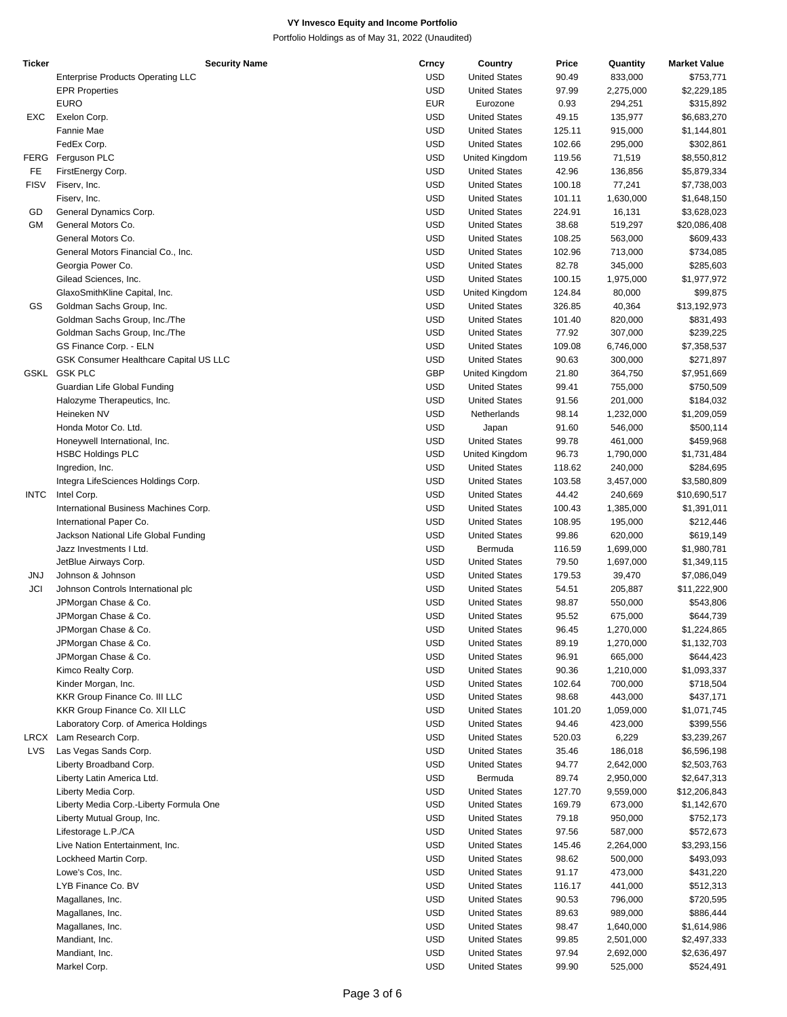| Ticker      | <b>Security Name</b>                     | Crncy      | Country              | Price  | Quantity  | <b>Market Value</b> |
|-------------|------------------------------------------|------------|----------------------|--------|-----------|---------------------|
|             | <b>Enterprise Products Operating LLC</b> | <b>USD</b> | <b>United States</b> | 90.49  | 833,000   | \$753,771           |
|             | <b>EPR Properties</b>                    | <b>USD</b> | <b>United States</b> | 97.99  | 2,275,000 | \$2,229,185         |
|             | <b>EURO</b>                              | <b>EUR</b> | Eurozone             | 0.93   | 294,251   | \$315,892           |
| EXC         | Exelon Corp.                             | <b>USD</b> | <b>United States</b> | 49.15  | 135,977   | \$6,683,270         |
|             | Fannie Mae                               | <b>USD</b> | <b>United States</b> | 125.11 | 915,000   | \$1,144,801         |
|             | FedEx Corp.                              | <b>USD</b> | <b>United States</b> | 102.66 | 295,000   | \$302,861           |
|             |                                          |            |                      |        |           |                     |
| <b>FERG</b> | Ferguson PLC                             | <b>USD</b> | United Kingdom       | 119.56 | 71,519    | \$8,550,812         |
| FE.         | FirstEnergy Corp.                        | <b>USD</b> | <b>United States</b> | 42.96  | 136,856   | \$5,879,334         |
| <b>FISV</b> | Fiserv, Inc.                             | <b>USD</b> | <b>United States</b> | 100.18 | 77,241    | \$7,738,003         |
|             | Fiserv, Inc.                             | <b>USD</b> | <b>United States</b> | 101.11 | 1,630,000 | \$1,648,150         |
| GD          | General Dynamics Corp.                   | <b>USD</b> | <b>United States</b> | 224.91 | 16,131    | \$3,628,023         |
| GМ          | General Motors Co.                       | <b>USD</b> | <b>United States</b> | 38.68  | 519,297   | \$20,086,408        |
|             | General Motors Co.                       | <b>USD</b> | <b>United States</b> | 108.25 | 563,000   | \$609,433           |
|             | General Motors Financial Co., Inc.       | <b>USD</b> | <b>United States</b> | 102.96 | 713,000   | \$734,085           |
|             | Georgia Power Co.                        | <b>USD</b> | <b>United States</b> | 82.78  | 345,000   | \$285,603           |
|             | Gilead Sciences, Inc.                    | <b>USD</b> | <b>United States</b> | 100.15 | 1,975,000 | \$1,977,972         |
|             | GlaxoSmithKline Capital, Inc.            | <b>USD</b> | United Kingdom       | 124.84 | 80,000    | \$99,875            |
| GS          | Goldman Sachs Group, Inc.                | <b>USD</b> | <b>United States</b> | 326.85 | 40,364    | \$13,192,973        |
|             | Goldman Sachs Group, Inc./The            | <b>USD</b> | <b>United States</b> | 101.40 | 820,000   | \$831,493           |
|             | Goldman Sachs Group, Inc./The            | <b>USD</b> | <b>United States</b> | 77.92  | 307,000   | \$239,225           |
|             | GS Finance Corp. - ELN                   | <b>USD</b> | <b>United States</b> | 109.08 | 6,746,000 | \$7,358,537         |
|             | GSK Consumer Healthcare Capital US LLC   | <b>USD</b> | <b>United States</b> | 90.63  | 300,000   | \$271,897           |
| GSKL        | <b>GSK PLC</b>                           | <b>GBP</b> | United Kingdom       | 21.80  | 364,750   | \$7,951,669         |
|             | Guardian Life Global Funding             | <b>USD</b> | <b>United States</b> | 99.41  | 755,000   | \$750,509           |
|             | Halozyme Therapeutics, Inc.              | <b>USD</b> | <b>United States</b> | 91.56  | 201,000   |                     |
|             | Heineken NV                              | <b>USD</b> | Netherlands          |        |           | \$184,032           |
|             |                                          |            |                      | 98.14  | 1,232,000 | \$1,209,059         |
|             | Honda Motor Co. Ltd.                     | <b>USD</b> | Japan                | 91.60  | 546,000   | \$500,114           |
|             | Honeywell International, Inc.            | <b>USD</b> | <b>United States</b> | 99.78  | 461,000   | \$459,968           |
|             | <b>HSBC Holdings PLC</b>                 | <b>USD</b> | United Kingdom       | 96.73  | 1,790,000 | \$1,731,484         |
|             | Ingredion, Inc.                          | <b>USD</b> | <b>United States</b> | 118.62 | 240,000   | \$284,695           |
|             | Integra LifeSciences Holdings Corp.      | <b>USD</b> | <b>United States</b> | 103.58 | 3,457,000 | \$3,580,809         |
| <b>INTC</b> | Intel Corp.                              | <b>USD</b> | <b>United States</b> | 44.42  | 240,669   | \$10,690,517        |
|             | International Business Machines Corp.    | <b>USD</b> | <b>United States</b> | 100.43 | 1,385,000 | \$1,391,011         |
|             | International Paper Co.                  | <b>USD</b> | <b>United States</b> | 108.95 | 195,000   | \$212,446           |
|             | Jackson National Life Global Funding     | <b>USD</b> | <b>United States</b> | 99.86  | 620,000   | \$619,149           |
|             | Jazz Investments I Ltd.                  | <b>USD</b> | Bermuda              | 116.59 | 1,699,000 | \$1,980,781         |
|             | JetBlue Airways Corp.                    | <b>USD</b> | <b>United States</b> | 79.50  | 1,697,000 | \$1,349,115         |
| <b>JNJ</b>  | Johnson & Johnson                        | <b>USD</b> | <b>United States</b> | 179.53 | 39,470    | \$7,086,049         |
| JCI         | Johnson Controls International plc       | <b>USD</b> | <b>United States</b> | 54.51  | 205,887   | \$11,222,900        |
|             | JPMorgan Chase & Co.                     | <b>USD</b> | <b>United States</b> | 98.87  | 550,000   | \$543,806           |
|             | JPMorgan Chase & Co.                     | <b>USD</b> | <b>United States</b> | 95.52  | 675,000   | \$644,739           |
|             | JPMorgan Chase & Co.                     | <b>USD</b> | <b>United States</b> | 96.45  | 1,270,000 | \$1,224,865         |
|             | JPMorgan Chase & Co.                     | <b>USD</b> | <b>United States</b> | 89.19  | 1,270,000 | \$1,132,703         |
|             | JPMorgan Chase & Co.                     | <b>USD</b> | <b>United States</b> | 96.91  | 665,000   | \$644,423           |
|             | Kimco Realty Corp.                       | <b>USD</b> | <b>United States</b> | 90.36  | 1,210,000 | \$1,093,337         |
|             | Kinder Morgan, Inc.                      | <b>USD</b> | <b>United States</b> | 102.64 | 700,000   | \$718,504           |
|             | KKR Group Finance Co. III LLC            | <b>USD</b> | <b>United States</b> | 98.68  | 443,000   |                     |
|             |                                          |            |                      |        |           | \$437,171           |
|             | KKR Group Finance Co. XII LLC            | <b>USD</b> | <b>United States</b> | 101.20 | 1,059,000 | \$1,071,745         |
|             | Laboratory Corp. of America Holdings     | <b>USD</b> | <b>United States</b> | 94.46  | 423,000   | \$399,556           |
|             | LRCX Lam Research Corp.                  | <b>USD</b> | <b>United States</b> | 520.03 | 6,229     | \$3,239,267         |
| LVS         | Las Vegas Sands Corp.                    | <b>USD</b> | <b>United States</b> | 35.46  | 186,018   | \$6,596,198         |
|             | Liberty Broadband Corp.                  | <b>USD</b> | <b>United States</b> | 94.77  | 2,642,000 | \$2,503,763         |
|             | Liberty Latin America Ltd.               | <b>USD</b> | Bermuda              | 89.74  | 2,950,000 | \$2,647,313         |
|             | Liberty Media Corp.                      | <b>USD</b> | <b>United States</b> | 127.70 | 9,559,000 | \$12,206,843        |
|             | Liberty Media Corp.-Liberty Formula One  | <b>USD</b> | <b>United States</b> | 169.79 | 673,000   | \$1,142,670         |
|             | Liberty Mutual Group, Inc.               | <b>USD</b> | <b>United States</b> | 79.18  | 950,000   | \$752,173           |
|             | Lifestorage L.P./CA                      | <b>USD</b> | <b>United States</b> | 97.56  | 587,000   | \$572,673           |
|             | Live Nation Entertainment, Inc.          | <b>USD</b> | <b>United States</b> | 145.46 | 2,264,000 | \$3,293,156         |
|             | Lockheed Martin Corp.                    | <b>USD</b> | <b>United States</b> | 98.62  | 500,000   | \$493,093           |
|             | Lowe's Cos, Inc.                         | <b>USD</b> | <b>United States</b> | 91.17  | 473,000   | \$431,220           |
|             | LYB Finance Co. BV                       | <b>USD</b> | <b>United States</b> | 116.17 | 441,000   | \$512,313           |
|             | Magallanes, Inc.                         | <b>USD</b> | <b>United States</b> | 90.53  | 796,000   | \$720,595           |
|             | Magallanes, Inc.                         | <b>USD</b> | <b>United States</b> | 89.63  | 989,000   | \$886,444           |
|             | Magallanes, Inc.                         | <b>USD</b> | <b>United States</b> | 98.47  | 1,640,000 | \$1,614,986         |
|             | Mandiant, Inc.                           | <b>USD</b> | <b>United States</b> | 99.85  |           |                     |
|             |                                          |            |                      |        | 2,501,000 | \$2,497,333         |
|             | Mandiant, Inc.                           | <b>USD</b> | <b>United States</b> | 97.94  | 2,692,000 | \$2,636,497         |
|             | Markel Corp.                             | <b>USD</b> | <b>United States</b> | 99.90  | 525,000   | \$524,491           |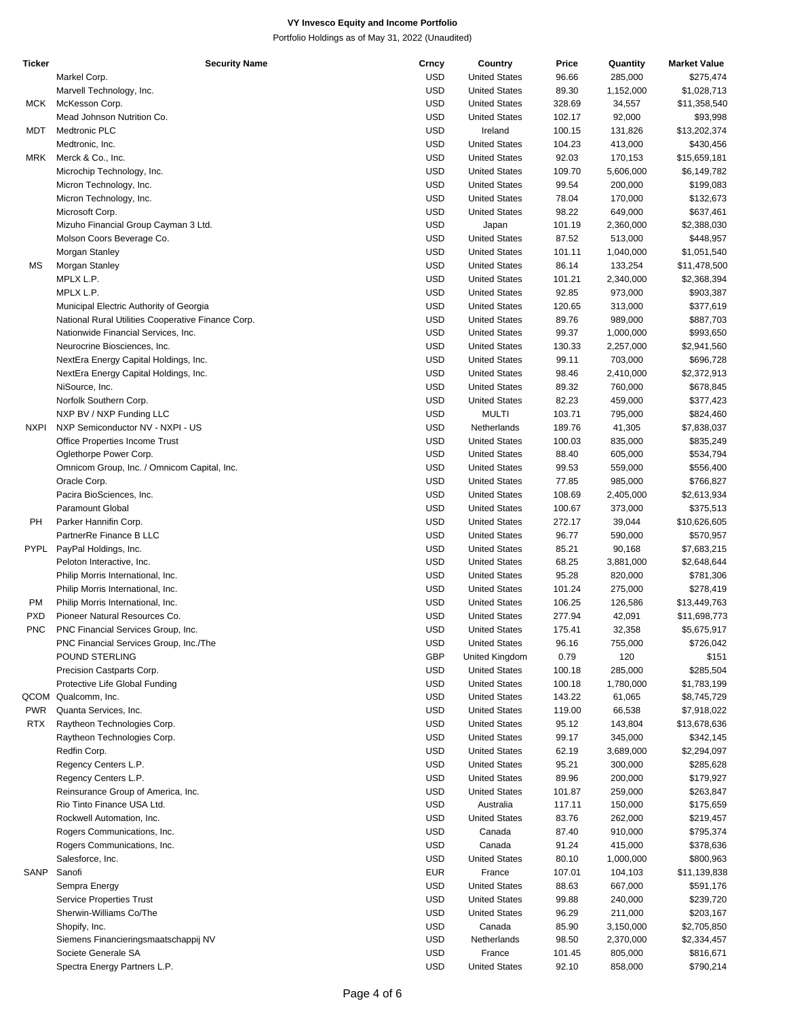| Ticker      | <b>Security Name</b>                               | Crncy      | Country              | Price  | Quantity  | <b>Market Value</b> |
|-------------|----------------------------------------------------|------------|----------------------|--------|-----------|---------------------|
|             | Markel Corp.                                       | <b>USD</b> | <b>United States</b> | 96.66  | 285,000   | \$275,474           |
|             | Marvell Technology, Inc.                           | <b>USD</b> | <b>United States</b> | 89.30  | 1,152,000 | \$1,028,713         |
| MCK         | McKesson Corp.                                     | <b>USD</b> | <b>United States</b> | 328.69 | 34,557    | \$11,358,540        |
|             | Mead Johnson Nutrition Co.                         | <b>USD</b> | <b>United States</b> | 102.17 | 92,000    | \$93,998            |
| MDT         | <b>Medtronic PLC</b>                               | <b>USD</b> | Ireland              | 100.15 | 131,826   | \$13,202,374        |
|             | Medtronic, Inc.                                    | <b>USD</b> | <b>United States</b> | 104.23 | 413,000   | \$430,456           |
| MRK         | Merck & Co., Inc.                                  | <b>USD</b> | <b>United States</b> | 92.03  | 170,153   | \$15,659,181        |
|             |                                                    | <b>USD</b> | <b>United States</b> | 109.70 |           |                     |
|             | Microchip Technology, Inc.                         |            |                      |        | 5,606,000 | \$6,149,782         |
|             | Micron Technology, Inc.                            | <b>USD</b> | <b>United States</b> | 99.54  | 200,000   | \$199,083           |
|             | Micron Technology, Inc.                            | <b>USD</b> | <b>United States</b> | 78.04  | 170,000   | \$132,673           |
|             | Microsoft Corp.                                    | <b>USD</b> | <b>United States</b> | 98.22  | 649,000   | \$637,461           |
|             | Mizuho Financial Group Cayman 3 Ltd.               | <b>USD</b> | Japan                | 101.19 | 2,360,000 | \$2,388,030         |
|             | Molson Coors Beverage Co.                          | <b>USD</b> | <b>United States</b> | 87.52  | 513,000   | \$448,957           |
|             | Morgan Stanley                                     | <b>USD</b> | <b>United States</b> | 101.11 | 1,040,000 | \$1,051,540         |
| МS          | Morgan Stanley                                     | <b>USD</b> | <b>United States</b> | 86.14  | 133,254   | \$11,478,500        |
|             | MPLX L.P.                                          | <b>USD</b> | <b>United States</b> | 101.21 | 2,340,000 | \$2,368,394         |
|             | MPLX L.P.                                          | <b>USD</b> | <b>United States</b> | 92.85  | 973,000   | \$903,387           |
|             | Municipal Electric Authority of Georgia            | <b>USD</b> | <b>United States</b> | 120.65 | 313,000   | \$377,619           |
|             | National Rural Utilities Cooperative Finance Corp. | <b>USD</b> | <b>United States</b> | 89.76  | 989,000   | \$887,703           |
|             | Nationwide Financial Services, Inc.                | <b>USD</b> | <b>United States</b> | 99.37  | 1,000,000 | \$993,650           |
|             | Neurocrine Biosciences, Inc.                       | <b>USD</b> | <b>United States</b> | 130.33 | 2,257,000 | \$2,941,560         |
|             | NextEra Energy Capital Holdings, Inc.              | <b>USD</b> | <b>United States</b> | 99.11  | 703,000   | \$696,728           |
|             |                                                    | <b>USD</b> | <b>United States</b> |        |           | \$2,372,913         |
|             | NextEra Energy Capital Holdings, Inc.              |            |                      | 98.46  | 2,410,000 |                     |
|             | NiSource, Inc.                                     | <b>USD</b> | <b>United States</b> | 89.32  | 760,000   | \$678,845           |
|             | Norfolk Southern Corp.                             | <b>USD</b> | <b>United States</b> | 82.23  | 459,000   | \$377,423           |
|             | NXP BV / NXP Funding LLC                           | <b>USD</b> | <b>MULTI</b>         | 103.71 | 795,000   | \$824,460           |
| <b>NXPI</b> | NXP Semiconductor NV - NXPI - US                   | <b>USD</b> | Netherlands          | 189.76 | 41,305    | \$7,838,037         |
|             | Office Properties Income Trust                     | <b>USD</b> | <b>United States</b> | 100.03 | 835,000   | \$835,249           |
|             | Oglethorpe Power Corp.                             | <b>USD</b> | <b>United States</b> | 88.40  | 605,000   | \$534,794           |
|             | Omnicom Group, Inc. / Omnicom Capital, Inc.        | <b>USD</b> | <b>United States</b> | 99.53  | 559,000   | \$556,400           |
|             | Oracle Corp.                                       | <b>USD</b> | <b>United States</b> | 77.85  | 985,000   | \$766,827           |
|             | Pacira BioSciences, Inc.                           | <b>USD</b> | <b>United States</b> | 108.69 | 2,405,000 | \$2,613,934         |
|             | Paramount Global                                   | <b>USD</b> | <b>United States</b> | 100.67 | 373,000   | \$375,513           |
| PH          | Parker Hannifin Corp.                              | <b>USD</b> | <b>United States</b> | 272.17 | 39,044    | \$10,626,605        |
|             | PartnerRe Finance B LLC                            | <b>USD</b> | <b>United States</b> | 96.77  | 590,000   | \$570,957           |
| PYPL        | PayPal Holdings, Inc.                              | <b>USD</b> | <b>United States</b> | 85.21  | 90,168    | \$7,683,215         |
|             | Peloton Interactive, Inc.                          | <b>USD</b> | <b>United States</b> | 68.25  | 3,881,000 | \$2,648,644         |
|             |                                                    |            |                      |        |           |                     |
|             | Philip Morris International, Inc.                  | <b>USD</b> | <b>United States</b> | 95.28  | 820,000   | \$781,306           |
|             | Philip Morris International, Inc.                  | <b>USD</b> | <b>United States</b> | 101.24 | 275,000   | \$278,419           |
| <b>PM</b>   | Philip Morris International, Inc.                  | <b>USD</b> | <b>United States</b> | 106.25 | 126,586   | \$13,449,763        |
| PXD         | Pioneer Natural Resources Co.                      | <b>USD</b> | <b>United States</b> | 277.94 | 42,091    | \$11,698,773        |
| <b>PNC</b>  | PNC Financial Services Group, Inc.                 | <b>USD</b> | <b>United States</b> | 175.41 | 32,358    | \$5,675,917         |
|             | PNC Financial Services Group, Inc./The             | <b>USD</b> | <b>United States</b> | 96.16  | 755,000   | \$726,042           |
|             | POUND STERLING                                     | <b>GBP</b> | United Kingdom       | 0.79   | 120       | \$151               |
|             | Precision Castparts Corp.                          | <b>USD</b> | <b>United States</b> | 100.18 | 285,000   | \$285,504           |
|             | Protective Life Global Funding                     | <b>USD</b> | <b>United States</b> | 100.18 | 1,780,000 | \$1,783,199         |
|             | QCOM Qualcomm, Inc.                                | <b>USD</b> | <b>United States</b> | 143.22 | 61,065    | \$8,745,729         |
| <b>PWR</b>  | Quanta Services, Inc.                              | <b>USD</b> | <b>United States</b> | 119.00 | 66,538    | \$7,918,022         |
| <b>RTX</b>  | Raytheon Technologies Corp.                        | <b>USD</b> | <b>United States</b> | 95.12  | 143,804   | \$13,678,636        |
|             | Raytheon Technologies Corp.                        | <b>USD</b> | <b>United States</b> | 99.17  | 345,000   | \$342,145           |
|             | Redfin Corp.                                       | <b>USD</b> | <b>United States</b> | 62.19  | 3,689,000 | \$2,294,097         |
|             |                                                    | <b>USD</b> |                      |        |           |                     |
|             | Regency Centers L.P.                               |            | <b>United States</b> | 95.21  | 300,000   | \$285,628           |
|             | Regency Centers L.P.                               | <b>USD</b> | <b>United States</b> | 89.96  | 200,000   | \$179,927           |
|             | Reinsurance Group of America, Inc.                 | <b>USD</b> | <b>United States</b> | 101.87 | 259,000   | \$263,847           |
|             | Rio Tinto Finance USA Ltd.                         | <b>USD</b> | Australia            | 117.11 | 150,000   | \$175,659           |
|             | Rockwell Automation, Inc.                          | <b>USD</b> | <b>United States</b> | 83.76  | 262,000   | \$219,457           |
|             | Rogers Communications, Inc.                        | <b>USD</b> | Canada               | 87.40  | 910,000   | \$795,374           |
|             | Rogers Communications, Inc.                        | <b>USD</b> | Canada               | 91.24  | 415,000   | \$378,636           |
|             | Salesforce, Inc.                                   | <b>USD</b> | <b>United States</b> | 80.10  | 1,000,000 | \$800,963           |
| SANP        | Sanofi                                             | <b>EUR</b> | France               | 107.01 | 104,103   | \$11,139,838        |
|             | Sempra Energy                                      | <b>USD</b> | <b>United States</b> | 88.63  | 667,000   | \$591,176           |
|             | Service Properties Trust                           | <b>USD</b> | <b>United States</b> | 99.88  | 240,000   | \$239,720           |
|             | Sherwin-Williams Co/The                            | <b>USD</b> | <b>United States</b> | 96.29  | 211,000   | \$203,167           |
|             | Shopify, Inc.                                      | <b>USD</b> | Canada               | 85.90  | 3,150,000 | \$2,705,850         |
|             |                                                    | <b>USD</b> |                      |        |           |                     |
|             | Siemens Financieringsmaatschappij NV               |            | Netherlands          | 98.50  | 2,370,000 | \$2,334,457         |
|             | Societe Generale SA                                | <b>USD</b> | France               | 101.45 | 805,000   | \$816,671           |
|             | Spectra Energy Partners L.P.                       | <b>USD</b> | <b>United States</b> | 92.10  | 858,000   | \$790,214           |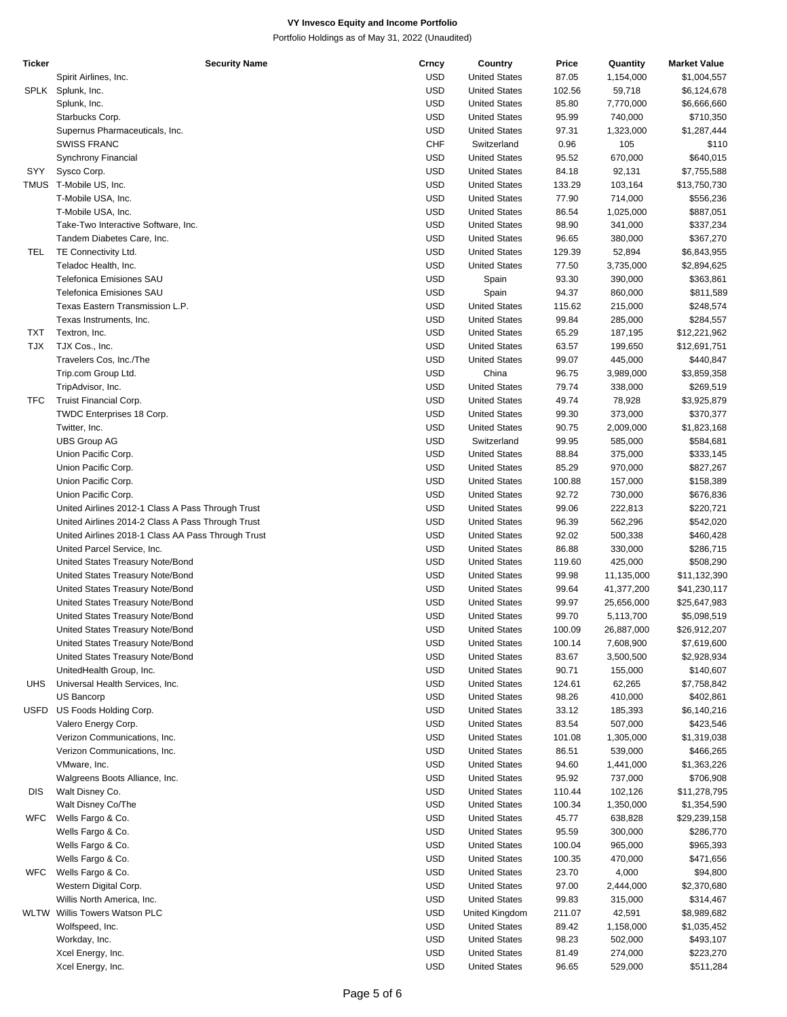| Ticker     | <b>Security Name</b>                               | Crncy      | Country              | Price  | Quantity   | <b>Market Value</b> |
|------------|----------------------------------------------------|------------|----------------------|--------|------------|---------------------|
|            | Spirit Airlines, Inc.                              | <b>USD</b> | <b>United States</b> | 87.05  | 1,154,000  | \$1,004,557         |
| SPLK       | Splunk, Inc.                                       | <b>USD</b> | <b>United States</b> | 102.56 | 59,718     | \$6,124,678         |
|            | Splunk, Inc.                                       | <b>USD</b> | <b>United States</b> | 85.80  | 7,770,000  | \$6,666,660         |
|            | Starbucks Corp.                                    | <b>USD</b> | <b>United States</b> | 95.99  | 740,000    | \$710,350           |
|            | Supernus Pharmaceuticals, Inc.                     | <b>USD</b> | <b>United States</b> | 97.31  | 1,323,000  | \$1,287,444         |
|            | <b>SWISS FRANC</b>                                 | <b>CHF</b> | Switzerland          | 0.96   | 105        | \$110               |
|            | Synchrony Financial                                | <b>USD</b> | <b>United States</b> | 95.52  | 670,000    | \$640,015           |
| SYY        | Sysco Corp.                                        | <b>USD</b> | <b>United States</b> | 84.18  | 92,131     | \$7,755,588         |
|            | TMUS T-Mobile US, Inc.                             | <b>USD</b> | <b>United States</b> | 133.29 | 103,164    | \$13,750,730        |
|            |                                                    | <b>USD</b> | <b>United States</b> | 77.90  | 714,000    | \$556,236           |
|            | T-Mobile USA, Inc.                                 | <b>USD</b> |                      |        |            |                     |
|            | T-Mobile USA, Inc.                                 |            | <b>United States</b> | 86.54  | 1,025,000  | \$887,051           |
|            | Take-Two Interactive Software, Inc.                | <b>USD</b> | <b>United States</b> | 98.90  | 341,000    | \$337,234           |
|            | Tandem Diabetes Care, Inc.                         | <b>USD</b> | <b>United States</b> | 96.65  | 380,000    | \$367,270           |
| TEL        | TE Connectivity Ltd.                               | <b>USD</b> | <b>United States</b> | 129.39 | 52,894     | \$6,843,955         |
|            | Teladoc Health, Inc.                               | <b>USD</b> | <b>United States</b> | 77.50  | 3,735,000  | \$2,894,625         |
|            | <b>Telefonica Emisiones SAU</b>                    | <b>USD</b> | Spain                | 93.30  | 390,000    | \$363,861           |
|            | <b>Telefonica Emisiones SAU</b>                    | <b>USD</b> | Spain                | 94.37  | 860,000    | \$811,589           |
|            | Texas Eastern Transmission L.P.                    | <b>USD</b> | <b>United States</b> | 115.62 | 215,000    | \$248,574           |
|            | Texas Instruments, Inc.                            | <b>USD</b> | <b>United States</b> | 99.84  | 285,000    | \$284,557           |
| <b>TXT</b> | Textron, Inc.                                      | <b>USD</b> | <b>United States</b> | 65.29  | 187,195    | \$12,221,962        |
| <b>TJX</b> | TJX Cos., Inc.                                     | <b>USD</b> | <b>United States</b> | 63.57  | 199,650    | \$12,691,751        |
|            | Travelers Cos, Inc./The                            | <b>USD</b> | <b>United States</b> | 99.07  | 445,000    | \$440,847           |
|            | Trip.com Group Ltd.                                | <b>USD</b> | China                | 96.75  | 3,989,000  | \$3,859,358         |
|            | TripAdvisor, Inc.                                  | <b>USD</b> | <b>United States</b> | 79.74  | 338,000    | \$269,519           |
| <b>TFC</b> | Truist Financial Corp.                             | <b>USD</b> | <b>United States</b> | 49.74  | 78,928     | \$3,925,879         |
|            | TWDC Enterprises 18 Corp.                          | <b>USD</b> | <b>United States</b> | 99.30  | 373,000    | \$370,377           |
|            | Twitter, Inc.                                      | <b>USD</b> | <b>United States</b> | 90.75  | 2,009,000  | \$1,823,168         |
|            | <b>UBS Group AG</b>                                | <b>USD</b> | Switzerland          | 99.95  | 585,000    | \$584,681           |
|            | Union Pacific Corp.                                | <b>USD</b> | <b>United States</b> | 88.84  | 375,000    | \$333,145           |
|            | Union Pacific Corp.                                | <b>USD</b> | <b>United States</b> | 85.29  | 970,000    | \$827,267           |
|            | Union Pacific Corp.                                | <b>USD</b> | <b>United States</b> | 100.88 | 157,000    | \$158,389           |
|            | Union Pacific Corp.                                | <b>USD</b> | <b>United States</b> | 92.72  | 730,000    | \$676,836           |
|            | United Airlines 2012-1 Class A Pass Through Trust  | <b>USD</b> | <b>United States</b> | 99.06  | 222,813    | \$220,721           |
|            | United Airlines 2014-2 Class A Pass Through Trust  | <b>USD</b> | <b>United States</b> | 96.39  | 562,296    | \$542,020           |
|            | United Airlines 2018-1 Class AA Pass Through Trust | <b>USD</b> | <b>United States</b> | 92.02  | 500,338    | \$460,428           |
|            | United Parcel Service, Inc.                        | <b>USD</b> | <b>United States</b> | 86.88  | 330,000    | \$286,715           |
|            | United States Treasury Note/Bond                   | <b>USD</b> | <b>United States</b> | 119.60 | 425,000    |                     |
|            |                                                    | <b>USD</b> |                      |        |            | \$508,290           |
|            | United States Treasury Note/Bond                   |            | <b>United States</b> | 99.98  | 11,135,000 | \$11,132,390        |
|            | United States Treasury Note/Bond                   | <b>USD</b> | <b>United States</b> | 99.64  | 41,377,200 | \$41,230,117        |
|            | United States Treasury Note/Bond                   | <b>USD</b> | <b>United States</b> | 99.97  | 25,656,000 | \$25,647,983        |
|            | United States Treasury Note/Bond                   | <b>USD</b> | <b>United States</b> | 99.70  | 5,113,700  | \$5,098,519         |
|            | United States Treasury Note/Bond                   | <b>USD</b> | <b>United States</b> | 100.09 | 26,887,000 | \$26,912,207        |
|            | United States Treasury Note/Bond                   | <b>USD</b> | <b>United States</b> | 100.14 | 7,608,900  | \$7,619,600         |
|            | United States Treasury Note/Bond                   | <b>USD</b> | <b>United States</b> | 83.67  | 3,500,500  | \$2,928,934         |
|            | UnitedHealth Group, Inc.                           | <b>USD</b> | <b>United States</b> | 90.71  | 155,000    | \$140,607           |
| <b>UHS</b> | Universal Health Services, Inc.                    | <b>USD</b> | <b>United States</b> | 124.61 | 62,265     | \$7,758,842         |
|            | US Bancorp                                         | <b>USD</b> | <b>United States</b> | 98.26  | 410,000    | \$402,861           |
| USFD       | US Foods Holding Corp.                             | <b>USD</b> | <b>United States</b> | 33.12  | 185,393    | \$6,140,216         |
|            | Valero Energy Corp.                                | <b>USD</b> | <b>United States</b> | 83.54  | 507,000    | \$423,546           |
|            | Verizon Communications, Inc.                       | <b>USD</b> | <b>United States</b> | 101.08 | 1,305,000  | \$1,319,038         |
|            | Verizon Communications, Inc.                       | <b>USD</b> | <b>United States</b> | 86.51  | 539,000    | \$466,265           |
|            | VMware, Inc.                                       | <b>USD</b> | <b>United States</b> | 94.60  | 1,441,000  | \$1,363,226         |
|            | Walgreens Boots Alliance, Inc.                     | <b>USD</b> | <b>United States</b> | 95.92  | 737,000    | \$706,908           |
| <b>DIS</b> | Walt Disney Co.                                    | <b>USD</b> | <b>United States</b> | 110.44 | 102,126    | \$11,278,795        |
|            | Walt Disney Co/The                                 | <b>USD</b> | <b>United States</b> | 100.34 | 1,350,000  | \$1,354,590         |
| <b>WFC</b> | Wells Fargo & Co.                                  | <b>USD</b> | <b>United States</b> | 45.77  | 638,828    | \$29,239,158        |
|            | Wells Fargo & Co.                                  | <b>USD</b> | <b>United States</b> | 95.59  | 300,000    | \$286,770           |
|            | Wells Fargo & Co.                                  | <b>USD</b> | <b>United States</b> | 100.04 | 965,000    | \$965,393           |
|            | Wells Fargo & Co.                                  | <b>USD</b> | <b>United States</b> | 100.35 | 470,000    | \$471,656           |
| <b>WFC</b> | Wells Fargo & Co.                                  | <b>USD</b> | <b>United States</b> | 23.70  | 4,000      | \$94,800            |
|            | Western Digital Corp.                              | <b>USD</b> | <b>United States</b> | 97.00  | 2,444,000  | \$2,370,680         |
|            | Willis North America, Inc.                         | <b>USD</b> | <b>United States</b> | 99.83  | 315,000    | \$314,467           |
|            | WLTW Willis Towers Watson PLC                      | <b>USD</b> | United Kingdom       | 211.07 | 42,591     | \$8,989,682         |
|            | Wolfspeed, Inc.                                    | <b>USD</b> | <b>United States</b> | 89.42  | 1,158,000  | \$1,035,452         |
|            | Workday, Inc.                                      | <b>USD</b> | <b>United States</b> | 98.23  | 502,000    | \$493,107           |
|            | Xcel Energy, Inc.                                  | <b>USD</b> | <b>United States</b> | 81.49  | 274,000    | \$223,270           |
|            | Xcel Energy, Inc.                                  | <b>USD</b> | <b>United States</b> | 96.65  | 529,000    | \$511,284           |
|            |                                                    |            |                      |        |            |                     |